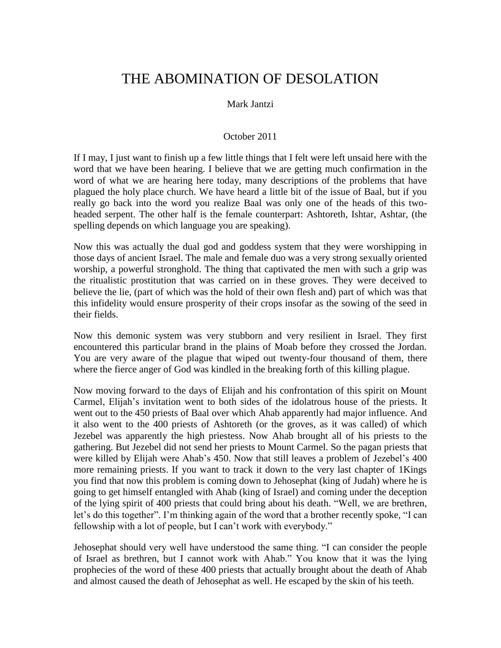# THE ABOMINATION OF DESOLATION

#### Mark Jantzi

#### October 2011

If I may, I just want to finish up a few little things that I felt were left unsaid here with the word that we have been hearing. I believe that we are getting much confirmation in the word of what we are hearing here today, many descriptions of the problems that have plagued the holy place church. We have heard a little bit of the issue of Baal, but if you really go back into the word you realize Baal was only one of the heads of this twoheaded serpent. The other half is the female counterpart: Ashtoreth, Ishtar, Ashtar, (the spelling depends on which language you are speaking).

Now this was actually the dual god and goddess system that they were worshipping in those days of ancient Israel. The male and female duo was a very strong sexually oriented worship, a powerful stronghold. The thing that captivated the men with such a grip was the ritualistic prostitution that was carried on in these groves. They were deceived to believe the lie, (part of which was the hold of their own flesh and) part of which was that this infidelity would ensure prosperity of their crops insofar as the sowing of the seed in their fields.

Now this demonic system was very stubborn and very resilient in Israel. They first encountered this particular brand in the plains of Moab before they crossed the Jordan. You are very aware of the plague that wiped out twenty-four thousand of them, there where the fierce anger of God was kindled in the breaking forth of this killing plague.

Now moving forward to the days of Elijah and his confrontation of this spirit on Mount Carmel, Elijah's invitation went to both sides of the idolatrous house of the priests. It went out to the 450 priests of Baal over which Ahab apparently had major influence. And it also went to the 400 priests of Ashtoreth (or the groves, as it was called) of which Jezebel was apparently the high priestess. Now Ahab brought all of his priests to the gathering. But Jezebel did not send her priests to Mount Carmel. So the pagan priests that were killed by Elijah were Ahab's 450. Now that still leaves a problem of Jezebel's 400 more remaining priests. If you want to track it down to the very last chapter of 1Kings you find that now this problem is coming down to Jehosephat (king of Judah) where he is going to get himself entangled with Ahab (king of Israel) and coming under the deception of the lying spirit of 400 priests that could bring about his death. "Well, we are brethren, let's do this together". I'm thinking again of the word that a brother recently spoke, "I can fellowship with a lot of people, but I can't work with everybody."

Jehosephat should very well have understood the same thing. "I can consider the people of Israel as brethren, but I cannot work with Ahab." You know that it was the lying prophecies of the word of these 400 priests that actually brought about the death of Ahab and almost caused the death of Jehosephat as well. He escaped by the skin of his teeth.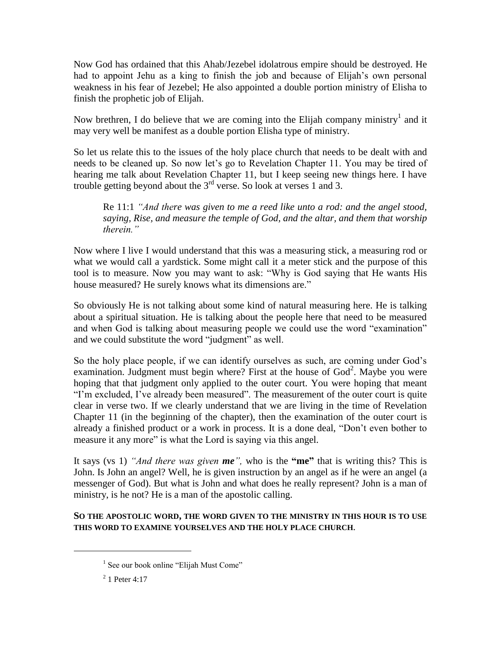Now God has ordained that this Ahab/Jezebel idolatrous empire should be destroyed. He had to appoint Jehu as a king to finish the job and because of Elijah's own personal weakness in his fear of Jezebel; He also appointed a double portion ministry of Elisha to finish the prophetic job of Elijah.

Now brethren, I do believe that we are coming into the Elijah company ministry<sup>1</sup> and it may very well be manifest as a double portion Elisha type of ministry.

So let us relate this to the issues of the holy place church that needs to be dealt with and needs to be cleaned up. So now let's go to Revelation Chapter 11. You may be tired of hearing me talk about Revelation Chapter 11, but I keep seeing new things here. I have trouble getting beyond about the  $3<sup>rd</sup>$  verse. So look at verses 1 and 3.

Re 11:1 *"And there was given to me a reed like unto a rod: and the angel stood, saying, Rise, and measure the temple of God, and the altar, and them that worship therein."*

Now where I live I would understand that this was a measuring stick, a measuring rod or what we would call a yardstick. Some might call it a meter stick and the purpose of this tool is to measure. Now you may want to ask: "Why is God saying that He wants His house measured? He surely knows what its dimensions are."

So obviously He is not talking about some kind of natural measuring here. He is talking about a spiritual situation. He is talking about the people here that need to be measured and when God is talking about measuring people we could use the word "examination" and we could substitute the word "judgment" as well.

So the holy place people, if we can identify ourselves as such, are coming under God's examination. Judgment must begin where? First at the house of  $God<sup>2</sup>$ . Maybe you were hoping that that judgment only applied to the outer court. You were hoping that meant "I'm excluded, I've already been measured". The measurement of the outer court is quite clear in verse two. If we clearly understand that we are living in the time of Revelation Chapter 11 (in the beginning of the chapter), then the examination of the outer court is already a finished product or a work in process. It is a done deal, "Don't even bother to measure it any more" is what the Lord is saying via this angel.

It says (vs 1) *"And there was given me",* who is the **"me"** that is writing this? This is John. Is John an angel? Well, he is given instruction by an angel as if he were an angel (a messenger of God). But what is John and what does he really represent? John is a man of ministry, is he not? He is a man of the apostolic calling.

**SO THE APOSTOLIC WORD, THE WORD GIVEN TO THE MINISTRY IN THIS HOUR IS TO USE THIS WORD TO EXAMINE YOURSELVES AND THE HOLY PLACE CHURCH**.

<sup>&</sup>lt;sup>1</sup> See our book online "Elijah Must Come"

 $2^{2}$  1 Peter 4:17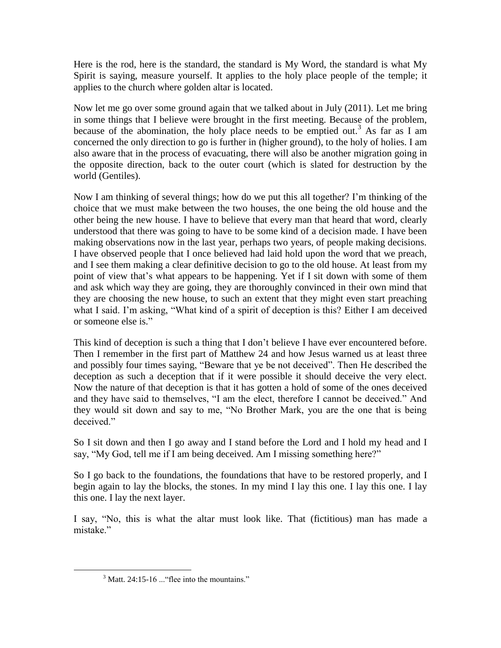Here is the rod, here is the standard, the standard is My Word, the standard is what My Spirit is saying, measure yourself. It applies to the holy place people of the temple; it applies to the church where golden altar is located.

Now let me go over some ground again that we talked about in July (2011). Let me bring in some things that I believe were brought in the first meeting. Because of the problem, because of the abomination, the holy place needs to be emptied out.<sup>3</sup> As far as I am concerned the only direction to go is further in (higher ground), to the holy of holies. I am also aware that in the process of evacuating, there will also be another migration going in the opposite direction, back to the outer court (which is slated for destruction by the world (Gentiles).

Now I am thinking of several things; how do we put this all together? I'm thinking of the choice that we must make between the two houses, the one being the old house and the other being the new house. I have to believe that every man that heard that word, clearly understood that there was going to have to be some kind of a decision made. I have been making observations now in the last year, perhaps two years, of people making decisions. I have observed people that I once believed had laid hold upon the word that we preach, and I see them making a clear definitive decision to go to the old house. At least from my point of view that's what appears to be happening. Yet if I sit down with some of them and ask which way they are going, they are thoroughly convinced in their own mind that they are choosing the new house, to such an extent that they might even start preaching what I said. I'm asking, "What kind of a spirit of deception is this? Either I am deceived or someone else is."

This kind of deception is such a thing that I don't believe I have ever encountered before. Then I remember in the first part of Matthew 24 and how Jesus warned us at least three and possibly four times saying, "Beware that ye be not deceived". Then He described the deception as such a deception that if it were possible it should deceive the very elect. Now the nature of that deception is that it has gotten a hold of some of the ones deceived and they have said to themselves, "I am the elect, therefore I cannot be deceived." And they would sit down and say to me, "No Brother Mark, you are the one that is being deceived."

So I sit down and then I go away and I stand before the Lord and I hold my head and I say, "My God, tell me if I am being deceived. Am I missing something here?"

So I go back to the foundations, the foundations that have to be restored properly, and I begin again to lay the blocks, the stones. In my mind I lay this one. I lay this one. I lay this one. I lay the next layer.

I say, "No, this is what the altar must look like. That (fictitious) man has made a mistake"

 $3$  Matt. 24:15-16 ... "flee into the mountains."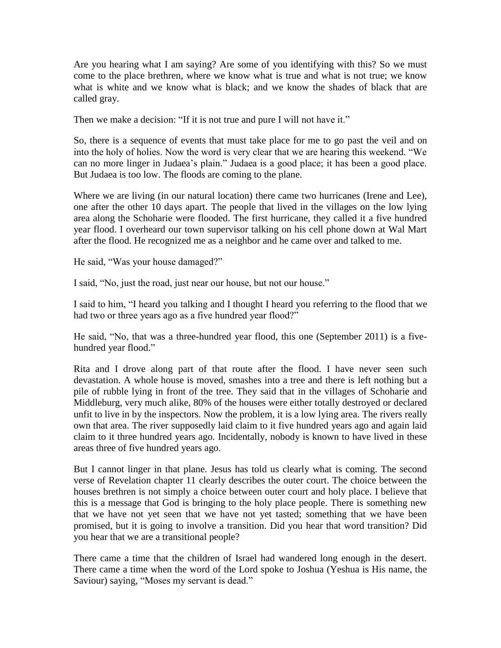Are you hearing what I am saying? Are some of you identifying with this? So we must come to the place brethren, where we know what is true and what is not true; we know what is white and we know what is black; and we know the shades of black that are called gray.

Then we make a decision: "If it is not true and pure I will not have it."

So, there is a sequence of events that must take place for me to go past the veil and on into the holy of holies. Now the word is very clear that we are hearing this weekend. "We can no more linger in Judaea's plain." Judaea is a good place; it has been a good place. But Judaea is too low. The floods are coming to the plane.

Where we are living (in our natural location) there came two hurricanes (Irene and Lee), one after the other 10 days apart. The people that lived in the villages on the low lying area along the Schoharie were flooded. The first hurricane, they called it a five hundred year flood. I overheard our town supervisor talking on his cell phone down at Wal Mart after the flood. He recognized me as a neighbor and he came over and talked to me.

He said, "Was your house damaged?"

I said, "No, just the road, just near our house, but not our house."

I said to him, "I heard you talking and I thought I heard you referring to the flood that we had two or three years ago as a five hundred year flood?"

He said, "No, that was a three-hundred year flood, this one (September 2011) is a fivehundred year flood."

Rita and I drove along part of that route after the flood. I have never seen such devastation. A whole house is moved, smashes into a tree and there is left nothing but a pile of rubble lying in front of the tree. They said that in the villages of Schoharie and Middleburg, very much alike, 80% of the houses were either totally destroyed or declared unfit to live in by the inspectors. Now the problem, it is a low lying area. The rivers really own that area. The river supposedly laid claim to it five hundred years ago and again laid claim to it three hundred years ago. Incidentally, nobody is known to have lived in these areas three of five hundred years ago.

But I cannot linger in that plane. Jesus has told us clearly what is coming. The second verse of Revelation chapter 11 clearly describes the outer court. The choice between the houses brethren is not simply a choice between outer court and holy place. I believe that this is a message that God is bringing to the holy place people. There is something new that we have not yet seen that we have not yet tasted; something that we have been promised, but it is going to involve a transition. Did you hear that word transition? Did you hear that we are a transitional people?

There came a time that the children of Israel had wandered long enough in the desert. There came a time when the word of the Lord spoke to Joshua (Yeshua is His name, the Saviour) saying, "Moses my servant is dead."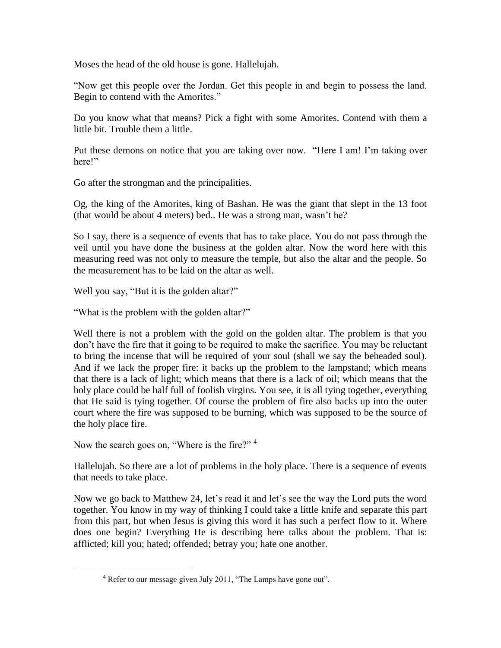Moses the head of the old house is gone. Hallelujah.

"Now get this people over the Jordan. Get this people in and begin to possess the land. Begin to contend with the Amorites."

Do you know what that means? Pick a fight with some Amorites. Contend with them a little bit. Trouble them a little.

Put these demons on notice that you are taking over now. "Here I am! I'm taking over here!"

Go after the strongman and the principalities.

Og, the king of the Amorites, king of Bashan. He was the giant that slept in the 13 foot (that would be about 4 meters) bed.. He was a strong man, wasn't he?

So I say, there is a sequence of events that has to take place. You do not pass through the veil until you have done the business at the golden altar. Now the word here with this measuring reed was not only to measure the temple, but also the altar and the people. So the measurement has to be laid on the altar as well.

Well you say, "But it is the golden altar?"

"What is the problem with the golden altar?"

Well there is not a problem with the gold on the golden altar. The problem is that you don't have the fire that it going to be required to make the sacrifice. You may be reluctant to bring the incense that will be required of your soul (shall we say the beheaded soul). And if we lack the proper fire: it backs up the problem to the lampstand; which means that there is a lack of light; which means that there is a lack of oil; which means that the holy place could be half full of foolish virgins. You see, it is all tying together, everything that He said is tying together. Of course the problem of fire also backs up into the outer court where the fire was supposed to be burning, which was supposed to be the source of the holy place fire.

Now the search goes on, "Where is the fire?" <sup>4</sup>

 $\overline{a}$ 

Hallelujah. So there are a lot of problems in the holy place. There is a sequence of events that needs to take place.

Now we go back to Matthew 24, let's read it and let's see the way the Lord puts the word together. You know in my way of thinking I could take a little knife and separate this part from this part, but when Jesus is giving this word it has such a perfect flow to it. Where does one begin? Everything He is describing here talks about the problem. That is: afflicted; kill you; hated; offended; betray you; hate one another.

<sup>&</sup>lt;sup>4</sup> Refer to our message given July 2011, "The Lamps have gone out".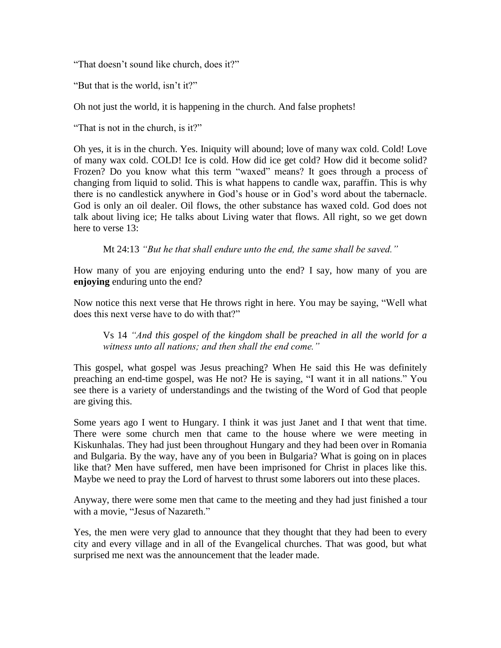"That doesn't sound like church, does it?"

"But that is the world, isn't it?"

Oh not just the world, it is happening in the church. And false prophets!

"That is not in the church, is it?"

Oh yes, it is in the church. Yes. Iniquity will abound; love of many wax cold. Cold! Love of many wax cold. COLD! Ice is cold. How did ice get cold? How did it become solid? Frozen? Do you know what this term "waxed" means? It goes through a process of changing from liquid to solid. This is what happens to candle wax, paraffin. This is why there is no candlestick anywhere in God's house or in God's word about the tabernacle. God is only an oil dealer. Oil flows, the other substance has waxed cold. God does not talk about living ice; He talks about Living water that flows. All right, so we get down here to verse 13:

Mt 24:13 *"But he that shall endure unto the end, the same shall be saved."*

How many of you are enjoying enduring unto the end? I say, how many of you are **enjoying** enduring unto the end?

Now notice this next verse that He throws right in here. You may be saying, "Well what does this next verse have to do with that?"

Vs 14 *"And this gospel of the kingdom shall be preached in all the world for a witness unto all nations; and then shall the end come."*

This gospel, what gospel was Jesus preaching? When He said this He was definitely preaching an end-time gospel, was He not? He is saying, "I want it in all nations." You see there is a variety of understandings and the twisting of the Word of God that people are giving this.

Some years ago I went to Hungary. I think it was just Janet and I that went that time. There were some church men that came to the house where we were meeting in Kiskunhalas. They had just been throughout Hungary and they had been over in Romania and Bulgaria. By the way, have any of you been in Bulgaria? What is going on in places like that? Men have suffered, men have been imprisoned for Christ in places like this. Maybe we need to pray the Lord of harvest to thrust some laborers out into these places.

Anyway, there were some men that came to the meeting and they had just finished a tour with a movie, "Jesus of Nazareth."

Yes, the men were very glad to announce that they thought that they had been to every city and every village and in all of the Evangelical churches. That was good, but what surprised me next was the announcement that the leader made.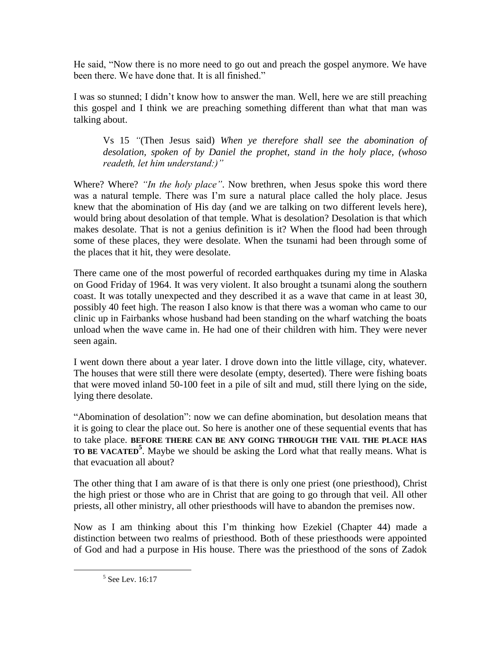He said, "Now there is no more need to go out and preach the gospel anymore. We have been there. We have done that. It is all finished."

I was so stunned; I didn't know how to answer the man. Well, here we are still preaching this gospel and I think we are preaching something different than what that man was talking about.

Vs 15 *"*(Then Jesus said) *When ye therefore shall see the abomination of desolation, spoken of by Daniel the prophet, stand in the holy place, (whoso readeth, let him understand:)"*

Where? Where? *"In the holy place"*. Now brethren, when Jesus spoke this word there was a natural temple. There was I'm sure a natural place called the holy place. Jesus knew that the abomination of His day (and we are talking on two different levels here), would bring about desolation of that temple. What is desolation? Desolation is that which makes desolate. That is not a genius definition is it? When the flood had been through some of these places, they were desolate. When the tsunami had been through some of the places that it hit, they were desolate.

There came one of the most powerful of recorded earthquakes during my time in Alaska on Good Friday of 1964. It was very violent. It also brought a tsunami along the southern coast. It was totally unexpected and they described it as a wave that came in at least 30, possibly 40 feet high. The reason I also know is that there was a woman who came to our clinic up in Fairbanks whose husband had been standing on the wharf watching the boats unload when the wave came in. He had one of their children with him. They were never seen again.

I went down there about a year later. I drove down into the little village, city, whatever. The houses that were still there were desolate (empty, deserted). There were fishing boats that were moved inland 50-100 feet in a pile of silt and mud, still there lying on the side, lying there desolate.

"Abomination of desolation": now we can define abomination, but desolation means that it is going to clear the place out. So here is another one of these sequential events that has to take place. **BEFORE THERE CAN BE ANY GOING THROUGH THE VAIL THE PLACE HAS TO BE VACATED<sup>5</sup>** . Maybe we should be asking the Lord what that really means. What is that evacuation all about?

The other thing that I am aware of is that there is only one priest (one priesthood), Christ the high priest or those who are in Christ that are going to go through that veil. All other priests, all other ministry, all other priesthoods will have to abandon the premises now.

Now as I am thinking about this I'm thinking how Ezekiel (Chapter 44) made a distinction between two realms of priesthood. Both of these priesthoods were appointed of God and had a purpose in His house. There was the priesthood of the sons of Zadok

<sup>5</sup> See Lev. 16:17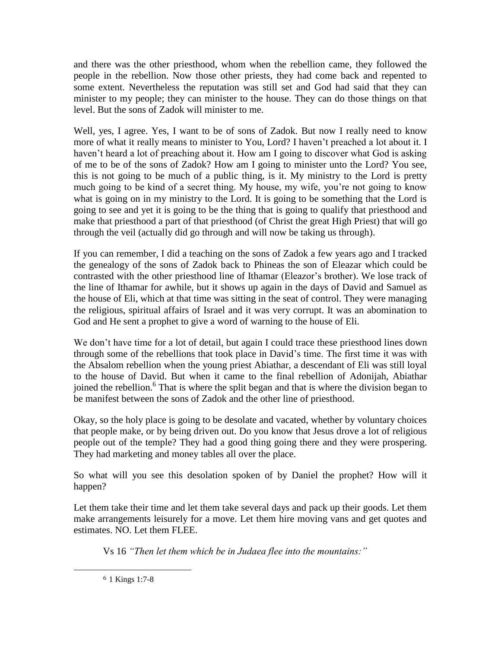and there was the other priesthood, whom when the rebellion came, they followed the people in the rebellion. Now those other priests, they had come back and repented to some extent. Nevertheless the reputation was still set and God had said that they can minister to my people; they can minister to the house. They can do those things on that level. But the sons of Zadok will minister to me.

Well, yes, I agree. Yes, I want to be of sons of Zadok. But now I really need to know more of what it really means to minister to You, Lord? I haven't preached a lot about it. I haven't heard a lot of preaching about it. How am I going to discover what God is asking of me to be of the sons of Zadok? How am I going to minister unto the Lord? You see, this is not going to be much of a public thing, is it. My ministry to the Lord is pretty much going to be kind of a secret thing. My house, my wife, you're not going to know what is going on in my ministry to the Lord. It is going to be something that the Lord is going to see and yet it is going to be the thing that is going to qualify that priesthood and make that priesthood a part of that priesthood (of Christ the great High Priest) that will go through the veil (actually did go through and will now be taking us through).

If you can remember, I did a teaching on the sons of Zadok a few years ago and I tracked the genealogy of the sons of Zadok back to Phineas the son of Eleazar which could be contrasted with the other priesthood line of Ithamar (Eleazor's brother). We lose track of the line of Ithamar for awhile, but it shows up again in the days of David and Samuel as the house of Eli, which at that time was sitting in the seat of control. They were managing the religious, spiritual affairs of Israel and it was very corrupt. It was an abomination to God and He sent a prophet to give a word of warning to the house of Eli.

We don't have time for a lot of detail, but again I could trace these priesthood lines down through some of the rebellions that took place in David's time. The first time it was with the Absalom rebellion when the young priest Abiathar, a descendant of Eli was still loyal to the house of David. But when it came to the final rebellion of Adonijah, Abiathar joined the rebellion.<sup>6</sup> That is where the split began and that is where the division began to be manifest between the sons of Zadok and the other line of priesthood.

Okay, so the holy place is going to be desolate and vacated, whether by voluntary choices that people make, or by being driven out. Do you know that Jesus drove a lot of religious people out of the temple? They had a good thing going there and they were prospering. They had marketing and money tables all over the place.

So what will you see this desolation spoken of by Daniel the prophet? How will it happen?

Let them take their time and let them take several days and pack up their goods. Let them make arrangements leisurely for a move. Let them hire moving vans and get quotes and estimates. NO. Let them FLEE.

Vs 16 *"Then let them which be in Judaea flee into the mountains:"*

<sup>6</sup> 1 Kings 1:7-8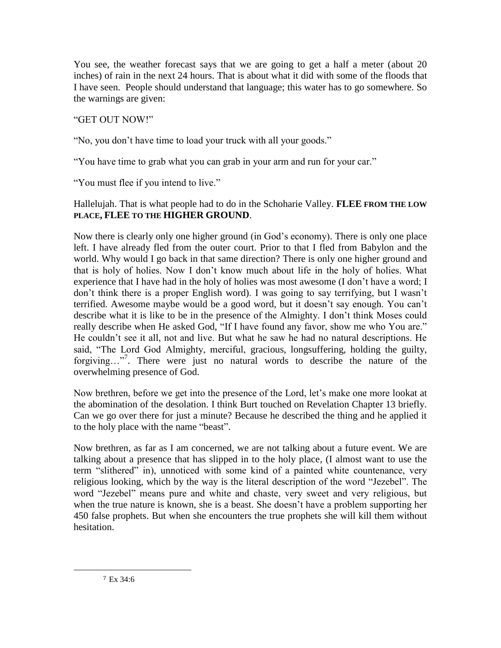You see, the weather forecast says that we are going to get a half a meter (about 20 inches) of rain in the next 24 hours. That is about what it did with some of the floods that I have seen. People should understand that language; this water has to go somewhere. So the warnings are given:

## "GET OUT NOW!"

"No, you don't have time to load your truck with all your goods."

"You have time to grab what you can grab in your arm and run for your car."

"You must flee if you intend to live."

## Hallelujah. That is what people had to do in the Schoharie Valley. **FLEE FROM THE LOW PLACE, FLEE TO THE HIGHER GROUND**.

Now there is clearly only one higher ground (in God's economy). There is only one place left. I have already fled from the outer court. Prior to that I fled from Babylon and the world. Why would I go back in that same direction? There is only one higher ground and that is holy of holies. Now I don't know much about life in the holy of holies. What experience that I have had in the holy of holies was most awesome (I don't have a word; I don't think there is a proper English word). I was going to say terrifying, but I wasn't terrified. Awesome maybe would be a good word, but it doesn't say enough. You can't describe what it is like to be in the presence of the Almighty. I don't think Moses could really describe when He asked God, "If I have found any favor, show me who You are." He couldn't see it all, not and live. But what he saw he had no natural descriptions. He said, "The Lord God Almighty, merciful, gracious, longsuffering, holding the guilty, forgiving…"<sup>7</sup> . There were just no natural words to describe the nature of the overwhelming presence of God.

Now brethren, before we get into the presence of the Lord, let's make one more lookat at the abomination of the desolation. I think Burt touched on Revelation Chapter 13 briefly. Can we go over there for just a minute? Because he described the thing and he applied it to the holy place with the name "beast".

Now brethren, as far as I am concerned, we are not talking about a future event. We are talking about a presence that has slipped in to the holy place, (I almost want to use the term "slithered" in), unnoticed with some kind of a painted white countenance, very religious looking, which by the way is the literal description of the word "Jezebel". The word "Jezebel" means pure and white and chaste, very sweet and very religious, but when the true nature is known, she is a beast. She doesn't have a problem supporting her 450 false prophets. But when she encounters the true prophets she will kill them without hesitation.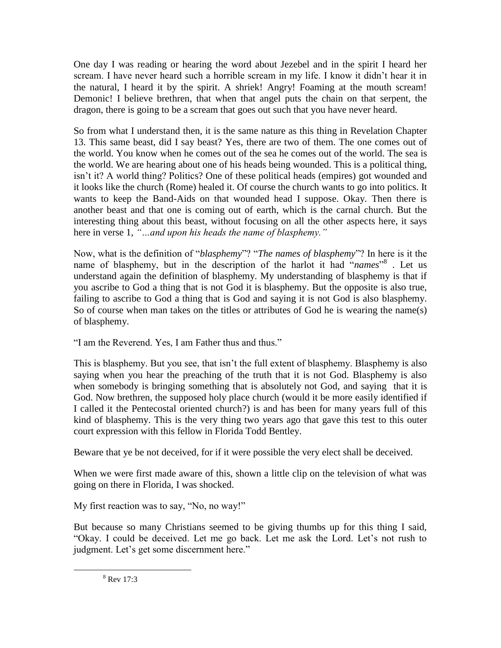One day I was reading or hearing the word about Jezebel and in the spirit I heard her scream. I have never heard such a horrible scream in my life. I know it didn't hear it in the natural, I heard it by the spirit. A shriek! Angry! Foaming at the mouth scream! Demonic! I believe brethren, that when that angel puts the chain on that serpent, the dragon, there is going to be a scream that goes out such that you have never heard.

So from what I understand then, it is the same nature as this thing in Revelation Chapter 13. This same beast, did I say beast? Yes, there are two of them. The one comes out of the world. You know when he comes out of the sea he comes out of the world. The sea is the world. We are hearing about one of his heads being wounded. This is a political thing, isn't it? A world thing? Politics? One of these political heads (empires) got wounded and it looks like the church (Rome) healed it. Of course the church wants to go into politics. It wants to keep the Band-Aids on that wounded head I suppose. Okay. Then there is another beast and that one is coming out of earth, which is the carnal church. But the interesting thing about this beast, without focusing on all the other aspects here, it says here in verse 1, *"…and upon his heads the name of blasphemy."* 

Now, what is the definition of "*blasphemy*"? "*The names of blasphemy*"? In here is it the name of blasphemy, but in the description of the harlot it had "*names*"<sup>8</sup>. Let us understand again the definition of blasphemy. My understanding of blasphemy is that if you ascribe to God a thing that is not God it is blasphemy. But the opposite is also true, failing to ascribe to God a thing that is God and saying it is not God is also blasphemy. So of course when man takes on the titles or attributes of God he is wearing the name(s) of blasphemy.

"I am the Reverend. Yes, I am Father thus and thus."

This is blasphemy. But you see, that isn't the full extent of blasphemy. Blasphemy is also saying when you hear the preaching of the truth that it is not God. Blasphemy is also when somebody is bringing something that is absolutely not God, and saying that it is God. Now brethren, the supposed holy place church (would it be more easily identified if I called it the Pentecostal oriented church?) is and has been for many years full of this kind of blasphemy. This is the very thing two years ago that gave this test to this outer court expression with this fellow in Florida Todd Bentley.

Beware that ye be not deceived, for if it were possible the very elect shall be deceived.

When we were first made aware of this, shown a little clip on the television of what was going on there in Florida, I was shocked.

My first reaction was to say, "No, no way!"

But because so many Christians seemed to be giving thumbs up for this thing I said, "Okay. I could be deceived. Let me go back. Let me ask the Lord. Let's not rush to judgment. Let's get some discernment here."

 $8$  Rev 17:3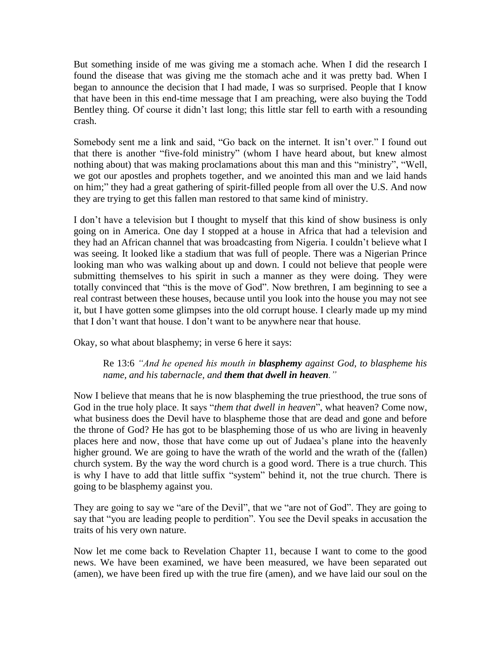But something inside of me was giving me a stomach ache. When I did the research I found the disease that was giving me the stomach ache and it was pretty bad. When I began to announce the decision that I had made, I was so surprised. People that I know that have been in this end-time message that I am preaching, were also buying the Todd Bentley thing. Of course it didn't last long; this little star fell to earth with a resounding crash.

Somebody sent me a link and said, "Go back on the internet. It isn't over." I found out that there is another "five-fold ministry" (whom I have heard about, but knew almost nothing about) that was making proclamations about this man and this "ministry", "Well, we got our apostles and prophets together, and we anointed this man and we laid hands on him;" they had a great gathering of spirit-filled people from all over the U.S. And now they are trying to get this fallen man restored to that same kind of ministry.

I don't have a television but I thought to myself that this kind of show business is only going on in America. One day I stopped at a house in Africa that had a television and they had an African channel that was broadcasting from Nigeria. I couldn't believe what I was seeing. It looked like a stadium that was full of people. There was a Nigerian Prince looking man who was walking about up and down. I could not believe that people were submitting themselves to his spirit in such a manner as they were doing. They were totally convinced that "this is the move of God". Now brethren, I am beginning to see a real contrast between these houses, because until you look into the house you may not see it, but I have gotten some glimpses into the old corrupt house. I clearly made up my mind that I don't want that house. I don't want to be anywhere near that house.

Okay, so what about blasphemy; in verse 6 here it says:

Re 13:6 *"And he opened his mouth in blasphemy against God, to blaspheme his name, and his tabernacle, and them that dwell in heaven."*

Now I believe that means that he is now blaspheming the true priesthood, the true sons of God in the true holy place. It says "*them that dwell in heaven*", what heaven? Come now, what business does the Devil have to blaspheme those that are dead and gone and before the throne of God? He has got to be blaspheming those of us who are living in heavenly places here and now, those that have come up out of Judaea's plane into the heavenly higher ground. We are going to have the wrath of the world and the wrath of the (fallen) church system. By the way the word church is a good word. There is a true church. This is why I have to add that little suffix "system" behind it, not the true church. There is going to be blasphemy against you.

They are going to say we "are of the Devil", that we "are not of God". They are going to say that "you are leading people to perdition". You see the Devil speaks in accusation the traits of his very own nature.

Now let me come back to Revelation Chapter 11, because I want to come to the good news. We have been examined, we have been measured, we have been separated out (amen), we have been fired up with the true fire (amen), and we have laid our soul on the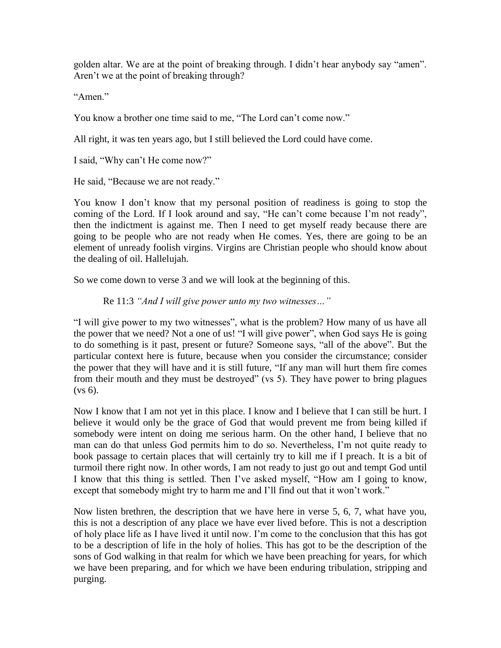golden altar. We are at the point of breaking through. I didn't hear anybody say "amen". Aren't we at the point of breaking through?

"Amen"

You know a brother one time said to me, "The Lord can't come now."

All right, it was ten years ago, but I still believed the Lord could have come.

I said, "Why can't He come now?"

He said, "Because we are not ready."

You know I don't know that my personal position of readiness is going to stop the coming of the Lord. If I look around and say, "He can't come because I'm not ready", then the indictment is against me. Then I need to get myself ready because there are going to be people who are not ready when He comes. Yes, there are going to be an element of unready foolish virgins. Virgins are Christian people who should know about the dealing of oil. Hallelujah.

So we come down to verse 3 and we will look at the beginning of this.

Re 11:3 *"And I will give power unto my two witnesses…"*

"I will give power to my two witnesses", what is the problem? How many of us have all the power that we need? Not a one of us! "I will give power", when God says He is going to do something is it past, present or future? Someone says, "all of the above". But the particular context here is future, because when you consider the circumstance; consider the power that they will have and it is still future, "If any man will hurt them fire comes from their mouth and they must be destroyed" (vs 5). They have power to bring plagues (vs 6).

Now I know that I am not yet in this place. I know and I believe that I can still be hurt. I believe it would only be the grace of God that would prevent me from being killed if somebody were intent on doing me serious harm. On the other hand, I believe that no man can do that unless God permits him to do so. Nevertheless, I'm not quite ready to book passage to certain places that will certainly try to kill me if I preach. It is a bit of turmoil there right now. In other words, I am not ready to just go out and tempt God until I know that this thing is settled. Then I've asked myself, "How am I going to know, except that somebody might try to harm me and I'll find out that it won't work."

Now listen brethren, the description that we have here in verse 5, 6, 7, what have you, this is not a description of any place we have ever lived before. This is not a description of holy place life as I have lived it until now. I'm come to the conclusion that this has got to be a description of life in the holy of holies. This has got to be the description of the sons of God walking in that realm for which we have been preaching for years, for which we have been preparing, and for which we have been enduring tribulation, stripping and purging.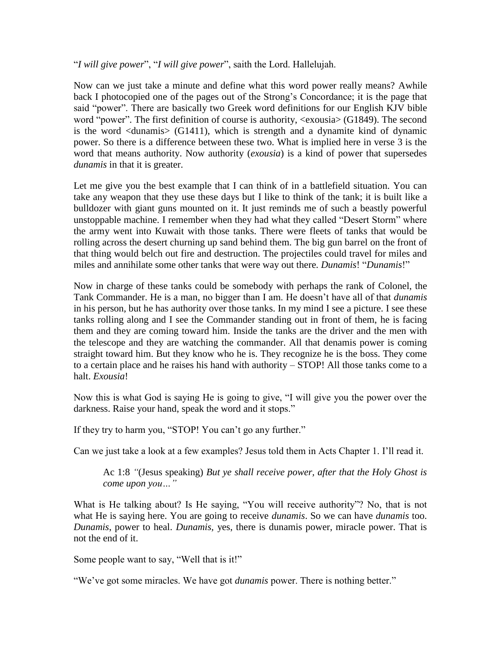"*I will give power*", "*I will give power*", saith the Lord. Hallelujah.

Now can we just take a minute and define what this word power really means? Awhile back I photocopied one of the pages out of the Strong's Concordance; it is the page that said "power". There are basically two Greek word definitions for our English KJV bible word "power". The first definition of course is authority, <exousia> (G1849). The second is the word  $\langle$  dunamis $\rangle$  (G1411), which is strength and a dynamite kind of dynamic power. So there is a difference between these two. What is implied here in verse 3 is the word that means authority. Now authority (*exousia*) is a kind of power that supersedes *dunamis* in that it is greater.

Let me give you the best example that I can think of in a battlefield situation. You can take any weapon that they use these days but I like to think of the tank; it is built like a bulldozer with giant guns mounted on it. It just reminds me of such a beastly powerful unstoppable machine. I remember when they had what they called "Desert Storm" where the army went into Kuwait with those tanks. There were fleets of tanks that would be rolling across the desert churning up sand behind them. The big gun barrel on the front of that thing would belch out fire and destruction. The projectiles could travel for miles and miles and annihilate some other tanks that were way out there. *Dunamis*! "*Dunamis*!"

Now in charge of these tanks could be somebody with perhaps the rank of Colonel, the Tank Commander. He is a man, no bigger than I am. He doesn't have all of that *dunamis* in his person, but he has authority over those tanks. In my mind I see a picture. I see these tanks rolling along and I see the Commander standing out in front of them, he is facing them and they are coming toward him. Inside the tanks are the driver and the men with the telescope and they are watching the commander. All that denamis power is coming straight toward him. But they know who he is. They recognize he is the boss. They come to a certain place and he raises his hand with authority – STOP! All those tanks come to a halt. *Exousia*!

Now this is what God is saying He is going to give, "I will give you the power over the darkness. Raise your hand, speak the word and it stops."

If they try to harm you, "STOP! You can't go any further."

Can we just take a look at a few examples? Jesus told them in Acts Chapter 1. I'll read it.

Ac 1:8 *"*(Jesus speaking) *But ye shall receive power, after that the Holy Ghost is come upon you…"*

What is He talking about? Is He saying, "You will receive authority"? No, that is not what He is saying here. You are going to receive *dunamis*. So we can have *dunamis* too. *Dunamis*, power to heal. *Dunamis,* yes, there is dunamis power, miracle power. That is not the end of it.

Some people want to say, "Well that is it!"

"We've got some miracles. We have got *dunamis* power. There is nothing better."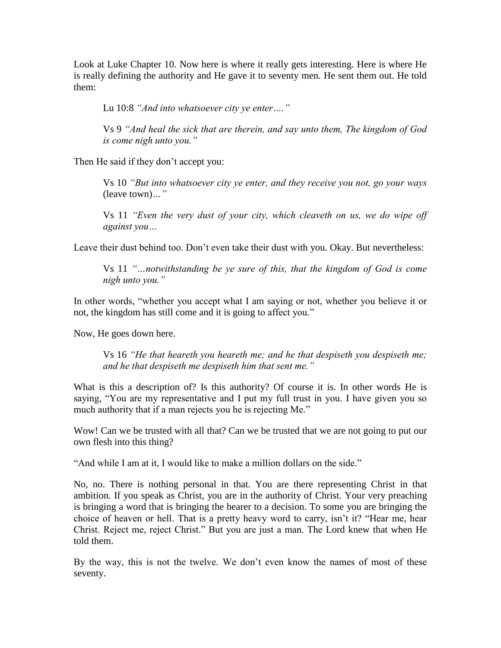Look at Luke Chapter 10. Now here is where it really gets interesting. Here is where He is really defining the authority and He gave it to seventy men. He sent them out. He told them:

Lu 10:8 *"And into whatsoever city ye enter…."*

Vs 9 *"And heal the sick that are therein, and say unto them, The kingdom of God is come nigh unto you."*

Then He said if they don't accept you:

Vs 10 *"But into whatsoever city ye enter, and they receive you not, go your ways*  (leave town)*…"*

Vs 11 *"Even the very dust of your city, which cleaveth on us, we do wipe off against you…*

Leave their dust behind too. Don't even take their dust with you. Okay. But nevertheless:

Vs 11 *"…notwithstanding be ye sure of this, that the kingdom of God is come nigh unto you."*

In other words, "whether you accept what I am saying or not, whether you believe it or not, the kingdom has still come and it is going to affect you."

Now, He goes down here.

Vs 16 *"He that heareth you heareth me; and he that despiseth you despiseth me; and he that despiseth me despiseth him that sent me."*

What is this a description of? Is this authority? Of course it is. In other words He is saying, "You are my representative and I put my full trust in you. I have given you so much authority that if a man rejects you he is rejecting Me."

Wow! Can we be trusted with all that? Can we be trusted that we are not going to put our own flesh into this thing?

"And while I am at it, I would like to make a million dollars on the side."

No, no. There is nothing personal in that. You are there representing Christ in that ambition. If you speak as Christ, you are in the authority of Christ. Your very preaching is bringing a word that is bringing the hearer to a decision. To some you are bringing the choice of heaven or hell. That is a pretty heavy word to carry, isn't it? "Hear me, hear Christ. Reject me, reject Christ." But you are just a man. The Lord knew that when He told them.

By the way, this is not the twelve. We don't even know the names of most of these seventy.